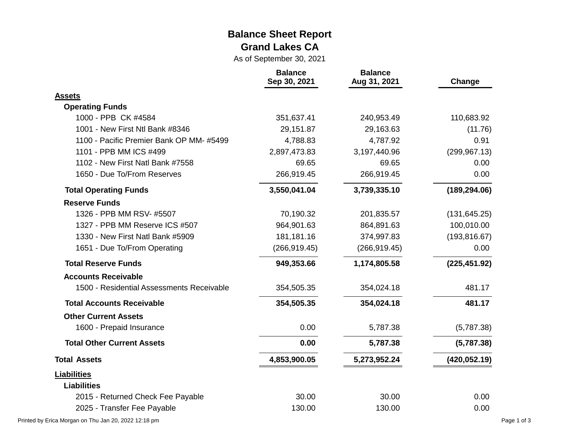#### **Balance Sheet Report Grand Lakes CA**

As of September 30, 2021

|                                           | <b>Balance</b><br>Sep 30, 2021 | <b>Balance</b><br>Aug 31, 2021 | Change        |
|-------------------------------------------|--------------------------------|--------------------------------|---------------|
| <b>Assets</b>                             |                                |                                |               |
| <b>Operating Funds</b>                    |                                |                                |               |
| 1000 - PPB CK #4584                       | 351,637.41                     | 240,953.49                     | 110,683.92    |
| 1001 - New First Ntl Bank #8346           | 29,151.87                      | 29,163.63                      | (11.76)       |
| 1100 - Pacific Premier Bank OP MM-#5499   | 4,788.83                       | 4,787.92                       | 0.91          |
| 1101 - PPB MM ICS #499                    | 2,897,473.83                   | 3,197,440.96                   | (299, 967.13) |
| 1102 - New First Natl Bank #7558          | 69.65                          | 69.65                          | 0.00          |
| 1650 - Due To/From Reserves               | 266,919.45                     | 266,919.45                     | 0.00          |
| <b>Total Operating Funds</b>              | 3,550,041.04                   | 3,739,335.10                   | (189, 294.06) |
| <b>Reserve Funds</b>                      |                                |                                |               |
| 1326 - PPB MM RSV- #5507                  | 70,190.32                      | 201,835.57                     | (131, 645.25) |
| 1327 - PPB MM Reserve ICS #507            | 964,901.63                     | 864,891.63                     | 100,010.00    |
| 1330 - New First Natl Bank #5909          | 181,181.16                     | 374,997.83                     | (193, 816.67) |
| 1651 - Due To/From Operating              | (266, 919.45)                  | (266, 919.45)                  | 0.00          |
| <b>Total Reserve Funds</b>                | 949,353.66                     | 1,174,805.58                   | (225, 451.92) |
| <b>Accounts Receivable</b>                |                                |                                |               |
| 1500 - Residential Assessments Receivable | 354,505.35                     | 354,024.18                     | 481.17        |
| <b>Total Accounts Receivable</b>          | 354,505.35                     | 354,024.18                     | 481.17        |
| <b>Other Current Assets</b>               |                                |                                |               |
| 1600 - Prepaid Insurance                  | 0.00                           | 5,787.38                       | (5,787.38)    |
| <b>Total Other Current Assets</b>         | 0.00                           | 5,787.38                       | (5,787.38)    |
| <b>Total Assets</b>                       | 4,853,900.05                   | 5,273,952.24                   | (420, 052.19) |
| <b>Liabilities</b>                        |                                |                                |               |
| <b>Liabilities</b>                        |                                |                                |               |
| 2015 - Returned Check Fee Payable         | 30.00                          | 30.00                          | 0.00          |
| 2025 - Transfer Fee Payable               | 130.00                         | 130.00                         | 0.00          |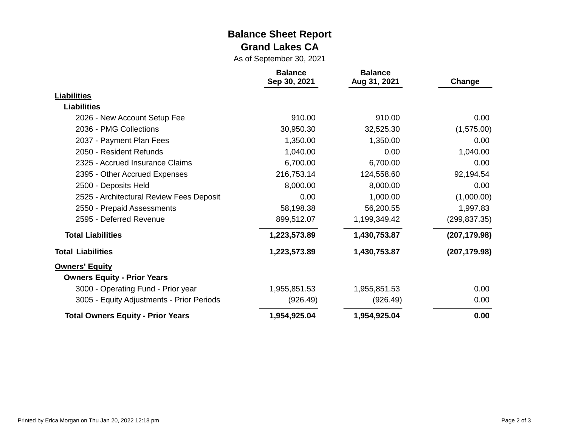#### **Balance Sheet Report Grand Lakes CA**

As of September 30, 2021

|                                           | <b>Balance</b><br>Sep 30, 2021 | <b>Balance</b><br>Aug 31, 2021 | Change        |
|-------------------------------------------|--------------------------------|--------------------------------|---------------|
| <b>Liabilities</b>                        |                                |                                |               |
| <b>Liabilities</b>                        |                                |                                |               |
| 2026 - New Account Setup Fee              | 910.00                         | 910.00                         | 0.00          |
| 2036 - PMG Collections                    | 30,950.30                      | 32,525.30                      | (1,575.00)    |
| 2037 - Payment Plan Fees                  | 1,350.00                       | 1,350.00                       | 0.00          |
| 2050 - Resident Refunds                   | 1,040.00                       | 0.00                           | 1,040.00      |
| 2325 - Accrued Insurance Claims           | 6,700.00                       | 6,700.00                       | 0.00          |
| 2395 - Other Accrued Expenses             | 216,753.14                     | 124,558.60                     | 92,194.54     |
| 2500 - Deposits Held                      | 8,000.00                       | 8,000.00                       | 0.00          |
| 2525 - Architectural Review Fees Deposit  | 0.00                           | 1,000.00                       | (1,000.00)    |
| 2550 - Prepaid Assessments                | 58,198.38                      | 56,200.55                      | 1,997.83      |
| 2595 - Deferred Revenue                   | 899,512.07                     | 1,199,349.42                   | (299, 837.35) |
| <b>Total Liabilities</b>                  | 1,223,573.89                   | 1,430,753.87                   | (207, 179.98) |
| <b>Total Liabilities</b>                  | 1,223,573.89                   | 1,430,753.87                   | (207, 179.98) |
| <b>Owners' Equity</b>                     |                                |                                |               |
| <b>Owners Equity - Prior Years</b>        |                                |                                |               |
| 3000 - Operating Fund - Prior year        | 1,955,851.53                   | 1,955,851.53                   | 0.00          |
| 3005 - Equity Adjustments - Prior Periods | (926.49)                       | (926.49)                       | 0.00          |
| <b>Total Owners Equity - Prior Years</b>  | 1,954,925.04                   | 1,954,925.04                   | 0.00          |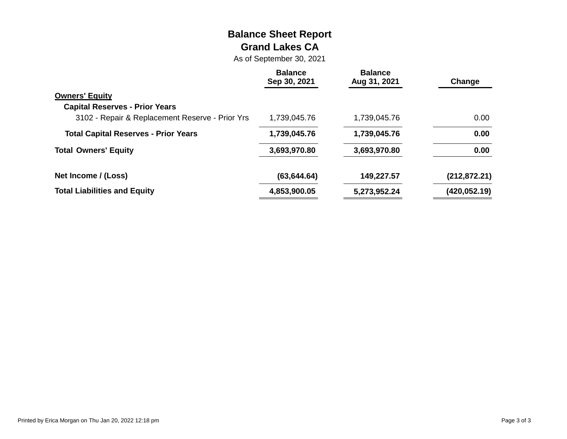# **Balance Sheet Report Grand Lakes CA**

As of September 30, 2021

|                                                 | <b>Balance</b><br>Sep 30, 2021 | <b>Balance</b><br>Aug 31, 2021 | Change        |
|-------------------------------------------------|--------------------------------|--------------------------------|---------------|
| <b>Owners' Equity</b>                           |                                |                                |               |
| <b>Capital Reserves - Prior Years</b>           |                                |                                |               |
| 3102 - Repair & Replacement Reserve - Prior Yrs | 1,739,045.76                   | 1,739,045.76                   | 0.00          |
| <b>Total Capital Reserves - Prior Years</b>     | 1,739,045.76                   | 1,739,045.76                   | 0.00          |
| <b>Total Owners' Equity</b>                     | 3,693,970.80                   | 3,693,970.80                   | 0.00          |
| Net Income / (Loss)                             | (63, 644.64)                   | 149,227.57                     | (212, 872.21) |
| <b>Total Liabilities and Equity</b>             | 4,853,900.05                   | 5,273,952.24                   | (420, 052.19) |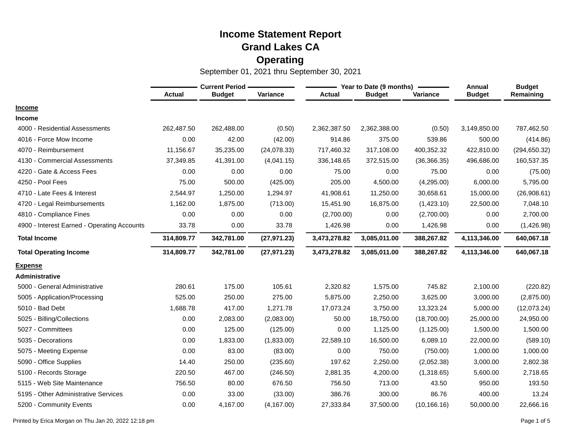|                                             | <b>Current Period -</b> |               |              |               | Year to Date (9 months) | Annual       | <b>Budget</b> |               |
|---------------------------------------------|-------------------------|---------------|--------------|---------------|-------------------------|--------------|---------------|---------------|
|                                             | <b>Actual</b>           | <b>Budget</b> | Variance     | <b>Actual</b> | <b>Budget</b>           | Variance     | <b>Budget</b> | Remaining     |
| <b>Income</b>                               |                         |               |              |               |                         |              |               |               |
| <b>Income</b>                               |                         |               |              |               |                         |              |               |               |
| 4000 - Residential Assessments              | 262,487.50              | 262,488.00    | (0.50)       | 2,362,387.50  | 2,362,388.00            | (0.50)       | 3,149,850.00  | 787,462.50    |
| 4016 - Force Mow Income                     | 0.00                    | 42.00         | (42.00)      | 914.86        | 375.00                  | 539.86       | 500.00        | (414.86)      |
| 4070 - Reimbursement                        | 11,156.67               | 35,235.00     | (24,078.33)  | 717,460.32    | 317,108.00              | 400,352.32   | 422,810.00    | (294, 650.32) |
| 4130 - Commercial Assessments               | 37,349.85               | 41,391.00     | (4,041.15)   | 336,148.65    | 372,515.00              | (36, 366.35) | 496,686.00    | 160,537.35    |
| 4220 - Gate & Access Fees                   | 0.00                    | 0.00          | 0.00         | 75.00         | 0.00                    | 75.00        | 0.00          | (75.00)       |
| 4250 - Pool Fees                            | 75.00                   | 500.00        | (425.00)     | 205.00        | 4,500.00                | (4,295.00)   | 6,000.00      | 5,795.00      |
| 4710 - Late Fees & Interest                 | 2,544.97                | 1,250.00      | 1,294.97     | 41,908.61     | 11,250.00               | 30,658.61    | 15,000.00     | (26,908.61)   |
| 4720 - Legal Reimbursements                 | 1,162.00                | 1,875.00      | (713.00)     | 15,451.90     | 16,875.00               | (1,423.10)   | 22,500.00     | 7,048.10      |
| 4810 - Compliance Fines                     | 0.00                    | 0.00          | 0.00         | (2,700.00)    | 0.00                    | (2,700.00)   | 0.00          | 2,700.00      |
| 4900 - Interest Earned - Operating Accounts | 33.78                   | 0.00          | 33.78        | 1,426.98      | 0.00                    | 1,426.98     | 0.00          | (1,426.98)    |
| <b>Total Income</b>                         | 314,809.77              | 342,781.00    | (27, 971.23) | 3,473,278.82  | 3,085,011.00            | 388,267.82   | 4,113,346.00  | 640,067.18    |
| <b>Total Operating Income</b>               | 314,809.77              | 342,781.00    | (27, 971.23) | 3,473,278.82  | 3,085,011.00            | 388,267.82   | 4,113,346.00  | 640,067.18    |
| <b>Expense</b>                              |                         |               |              |               |                         |              |               |               |
| Administrative                              |                         |               |              |               |                         |              |               |               |
| 5000 - General Administrative               | 280.61                  | 175.00        | 105.61       | 2,320.82      | 1,575.00                | 745.82       | 2,100.00      | (220.82)      |
| 5005 - Application/Processing               | 525.00                  | 250.00        | 275.00       | 5,875.00      | 2,250.00                | 3,625.00     | 3,000.00      | (2,875.00)    |
| 5010 - Bad Debt                             | 1,688.78                | 417.00        | 1,271.78     | 17,073.24     | 3,750.00                | 13,323.24    | 5,000.00      | (12,073.24)   |
| 5025 - Billing/Collections                  | 0.00                    | 2,083.00      | (2,083.00)   | 50.00         | 18,750.00               | (18,700.00)  | 25,000.00     | 24,950.00     |
| 5027 - Committees                           | 0.00                    | 125.00        | (125.00)     | 0.00          | 1,125.00                | (1, 125.00)  | 1,500.00      | 1,500.00      |
| 5035 - Decorations                          | 0.00                    | 1,833.00      | (1,833.00)   | 22,589.10     | 16,500.00               | 6,089.10     | 22,000.00     | (589.10)      |
| 5075 - Meeting Expense                      | 0.00                    | 83.00         | (83.00)      | 0.00          | 750.00                  | (750.00)     | 1,000.00      | 1,000.00      |
| 5090 - Office Supplies                      | 14.40                   | 250.00        | (235.60)     | 197.62        | 2,250.00                | (2,052.38)   | 3,000.00      | 2,802.38      |
| 5100 - Records Storage                      | 220.50                  | 467.00        | (246.50)     | 2,881.35      | 4,200.00                | (1,318.65)   | 5,600.00      | 2,718.65      |
| 5115 - Web Site Maintenance                 | 756.50                  | 80.00         | 676.50       | 756.50        | 713.00                  | 43.50        | 950.00        | 193.50        |
| 5195 - Other Administrative Services        | 0.00                    | 33.00         | (33.00)      | 386.76        | 300.00                  | 86.76        | 400.00        | 13.24         |
| 5200 - Community Events                     | 0.00                    | 4,167.00      | (4, 167.00)  | 27,333.84     | 37,500.00               | (10, 166.16) | 50,000.00     | 22,666.16     |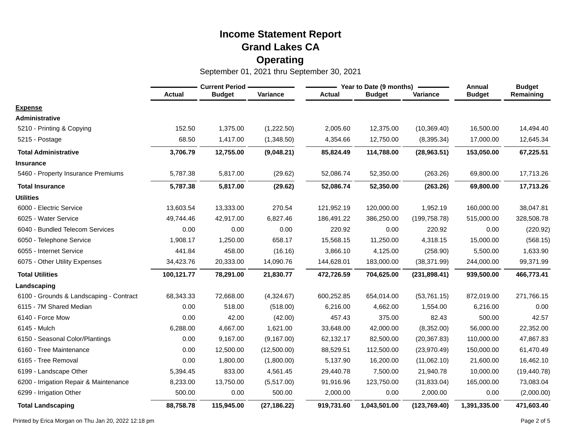September 01, 2021 thru September 30, 2021

|                                         | <b>Current Period -</b> |               |              |               | Year to Date (9 months) | Annual        | <b>Budget</b> |              |
|-----------------------------------------|-------------------------|---------------|--------------|---------------|-------------------------|---------------|---------------|--------------|
|                                         | <b>Actual</b>           | <b>Budget</b> | Variance     | <b>Actual</b> | <b>Budget</b>           | Variance      | <b>Budget</b> | Remaining    |
| <b>Expense</b>                          |                         |               |              |               |                         |               |               |              |
| Administrative                          |                         |               |              |               |                         |               |               |              |
| 5210 - Printing & Copying               | 152.50                  | 1,375.00      | (1,222.50)   | 2,005.60      | 12,375.00               | (10, 369.40)  | 16,500.00     | 14,494.40    |
| 5215 - Postage                          | 68.50                   | 1,417.00      | (1,348.50)   | 4,354.66      | 12,750.00               | (8,395.34)    | 17,000.00     | 12,645.34    |
| <b>Total Administrative</b>             | 3,706.79                | 12,755.00     | (9,048.21)   | 85,824.49     | 114,788.00              | (28,963.51)   | 153,050.00    | 67,225.51    |
| <b>Insurance</b>                        |                         |               |              |               |                         |               |               |              |
| 5460 - Property Insurance Premiums      | 5,787.38                | 5,817.00      | (29.62)      | 52,086.74     | 52,350.00               | (263.26)      | 69,800.00     | 17,713.26    |
| <b>Total Insurance</b>                  | 5,787.38                | 5,817.00      | (29.62)      | 52,086.74     | 52,350.00               | (263.26)      | 69,800.00     | 17,713.26    |
| <b>Utilities</b>                        |                         |               |              |               |                         |               |               |              |
| 6000 - Electric Service                 | 13,603.54               | 13,333.00     | 270.54       | 121,952.19    | 120,000.00              | 1,952.19      | 160,000.00    | 38,047.81    |
| 6025 - Water Service                    | 49,744.46               | 42,917.00     | 6,827.46     | 186,491.22    | 386,250.00              | (199, 758.78) | 515,000.00    | 328,508.78   |
| 6040 - Bundled Telecom Services         | 0.00                    | 0.00          | 0.00         | 220.92        | 0.00                    | 220.92        | 0.00          | (220.92)     |
| 6050 - Telephone Service                | 1,908.17                | 1,250.00      | 658.17       | 15,568.15     | 11,250.00               | 4,318.15      | 15,000.00     | (568.15)     |
| 6055 - Internet Service                 | 441.84                  | 458.00        | (16.16)      | 3,866.10      | 4,125.00                | (258.90)      | 5,500.00      | 1,633.90     |
| 6075 - Other Utility Expenses           | 34,423.76               | 20,333.00     | 14,090.76    | 144,628.01    | 183,000.00              | (38, 371.99)  | 244,000.00    | 99,371.99    |
| <b>Total Utilities</b>                  | 100,121.77              | 78,291.00     | 21,830.77    | 472,726.59    | 704,625.00              | (231, 898.41) | 939,500.00    | 466,773.41   |
| Landscaping                             |                         |               |              |               |                         |               |               |              |
| 6100 - Grounds & Landscaping - Contract | 68,343.33               | 72,668.00     | (4,324.67)   | 600,252.85    | 654,014.00              | (53,761.15)   | 872,019.00    | 271,766.15   |
| 6115 - 7M Shared Median                 | 0.00                    | 518.00        | (518.00)     | 6,216.00      | 4,662.00                | 1,554.00      | 6,216.00      | 0.00         |
| 6140 - Force Mow                        | 0.00                    | 42.00         | (42.00)      | 457.43        | 375.00                  | 82.43         | 500.00        | 42.57        |
| 6145 - Mulch                            | 6,288.00                | 4,667.00      | 1,621.00     | 33,648.00     | 42,000.00               | (8,352.00)    | 56,000.00     | 22,352.00    |
| 6150 - Seasonal Color/Plantings         | 0.00                    | 9,167.00      | (9, 167.00)  | 62,132.17     | 82,500.00               | (20, 367.83)  | 110,000.00    | 47,867.83    |
| 6160 - Tree Maintenance                 | 0.00                    | 12,500.00     | (12,500.00)  | 88,529.51     | 112,500.00              | (23,970.49)   | 150,000.00    | 61,470.49    |
| 6165 - Tree Removal                     | 0.00                    | 1,800.00      | (1,800.00)   | 5,137.90      | 16,200.00               | (11,062.10)   | 21,600.00     | 16,462.10    |
| 6199 - Landscape Other                  | 5,394.45                | 833.00        | 4,561.45     | 29,440.78     | 7,500.00                | 21,940.78     | 10,000.00     | (19, 440.78) |
| 6200 - Irrigation Repair & Maintenance  | 8,233.00                | 13,750.00     | (5,517.00)   | 91,916.96     | 123,750.00              | (31, 833.04)  | 165,000.00    | 73,083.04    |
| 6299 - Irrigation Other                 | 500.00                  | 0.00          | 500.00       | 2,000.00      | 0.00                    | 2,000.00      | 0.00          | (2,000.00)   |
| <b>Total Landscaping</b>                | 88,758.78               | 115,945.00    | (27, 186.22) | 919,731.60    | 1,043,501.00            | (123, 769.40) | 1,391,335.00  | 471,603.40   |

Printed by Erica Morgan on Thu Jan 20, 2022 12:18 pm Page 2 of 5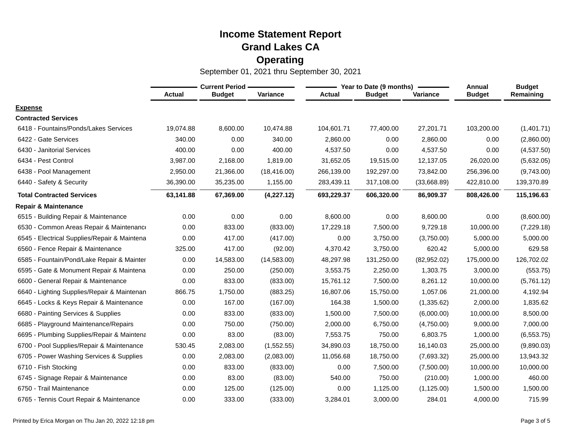|                                              |               | <b>Current Period -</b> |              |               | Year to Date (9 months) | Annual      | <b>Budget</b> |             |
|----------------------------------------------|---------------|-------------------------|--------------|---------------|-------------------------|-------------|---------------|-------------|
|                                              | <b>Actual</b> | <b>Budget</b>           | Variance     | <b>Actual</b> | <b>Budget</b>           | Variance    | <b>Budget</b> | Remaining   |
| <b>Expense</b>                               |               |                         |              |               |                         |             |               |             |
| <b>Contracted Services</b>                   |               |                         |              |               |                         |             |               |             |
| 6418 - Fountains/Ponds/Lakes Services        | 19,074.88     | 8,600.00                | 10,474.88    | 104,601.71    | 77,400.00               | 27,201.71   | 103,200.00    | (1,401.71)  |
| 6422 - Gate Services                         | 340.00        | 0.00                    | 340.00       | 2,860.00      | 0.00                    | 2,860.00    | 0.00          | (2,860.00)  |
| 6430 - Janitorial Services                   | 400.00        | 0.00                    | 400.00       | 4,537.50      | 0.00                    | 4,537.50    | 0.00          | (4,537.50)  |
| 6434 - Pest Control                          | 3,987.00      | 2,168.00                | 1,819.00     | 31,652.05     | 19,515.00               | 12,137.05   | 26,020.00     | (5,632.05)  |
| 6438 - Pool Management                       | 2,950.00      | 21,366.00               | (18, 416.00) | 266,139.00    | 192,297.00              | 73,842.00   | 256,396.00    | (9,743.00)  |
| 6440 - Safety & Security                     | 36,390.00     | 35,235.00               | 1,155.00     | 283,439.11    | 317,108.00              | (33,668.89) | 422,810.00    | 139,370.89  |
| <b>Total Contracted Services</b>             | 63,141.88     | 67,369.00               | (4,227.12)   | 693,229.37    | 606,320.00              | 86,909.37   | 808,426.00    | 115,196.63  |
| <b>Repair &amp; Maintenance</b>              |               |                         |              |               |                         |             |               |             |
| 6515 - Building Repair & Maintenance         | 0.00          | 0.00                    | 0.00         | 8,600.00      | 0.00                    | 8,600.00    | 0.00          | (8,600.00)  |
| 6530 - Common Areas Repair & Maintenance     | 0.00          | 833.00                  | (833.00)     | 17,229.18     | 7,500.00                | 9,729.18    | 10,000.00     | (7,229.18)  |
| 6545 - Electrical Supplies/Repair & Maintena | 0.00          | 417.00                  | (417.00)     | 0.00          | 3,750.00                | (3,750.00)  | 5,000.00      | 5,000.00    |
| 6560 - Fence Repair & Maintenance            | 325.00        | 417.00                  | (92.00)      | 4,370.42      | 3,750.00                | 620.42      | 5,000.00      | 629.58      |
| 6585 - Fountain/Pond/Lake Repair & Mainter   | 0.00          | 14,583.00               | (14, 583.00) | 48,297.98     | 131,250.00              | (82,952.02) | 175,000.00    | 126,702.02  |
| 6595 - Gate & Monument Repair & Maintena     | 0.00          | 250.00                  | (250.00)     | 3,553.75      | 2,250.00                | 1,303.75    | 3,000.00      | (553.75)    |
| 6600 - General Repair & Maintenance          | 0.00          | 833.00                  | (833.00)     | 15,761.12     | 7,500.00                | 8,261.12    | 10,000.00     | (5,761.12)  |
| 6640 - Lighting Supplies/Repair & Maintenan  | 866.75        | 1,750.00                | (883.25)     | 16,807.06     | 15,750.00               | 1,057.06    | 21,000.00     | 4,192.94    |
| 6645 - Locks & Keys Repair & Maintenance     | 0.00          | 167.00                  | (167.00)     | 164.38        | 1,500.00                | (1,335.62)  | 2,000.00      | 1,835.62    |
| 6680 - Painting Services & Supplies          | 0.00          | 833.00                  | (833.00)     | 1,500.00      | 7,500.00                | (6,000.00)  | 10,000.00     | 8,500.00    |
| 6685 - Playground Maintenance/Repairs        | 0.00          | 750.00                  | (750.00)     | 2,000.00      | 6,750.00                | (4,750.00)  | 9,000.00      | 7,000.00    |
| 6695 - Plumbing Supplies/Repair & Maintena   | 0.00          | 83.00                   | (83.00)      | 7,553.75      | 750.00                  | 6,803.75    | 1,000.00      | (6, 553.75) |
| 6700 - Pool Supplies/Repair & Maintenance    | 530.45        | 2,083.00                | (1,552.55)   | 34,890.03     | 18,750.00               | 16,140.03   | 25,000.00     | (9,890.03)  |
| 6705 - Power Washing Services & Supplies     | 0.00          | 2,083.00                | (2,083.00)   | 11,056.68     | 18,750.00               | (7,693.32)  | 25,000.00     | 13,943.32   |
| 6710 - Fish Stocking                         | 0.00          | 833.00                  | (833.00)     | 0.00          | 7,500.00                | (7,500.00)  | 10,000.00     | 10,000.00   |
| 6745 - Signage Repair & Maintenance          | 0.00          | 83.00                   | (83.00)      | 540.00        | 750.00                  | (210.00)    | 1,000.00      | 460.00      |
| 6750 - Trail Maintenance                     | 0.00          | 125.00                  | (125.00)     | 0.00          | 1,125.00                | (1, 125.00) | 1,500.00      | 1,500.00    |
| 6765 - Tennis Court Repair & Maintenance     | 0.00          | 333.00                  | (333.00)     | 3,284.01      | 3,000.00                | 284.01      | 4,000.00      | 715.99      |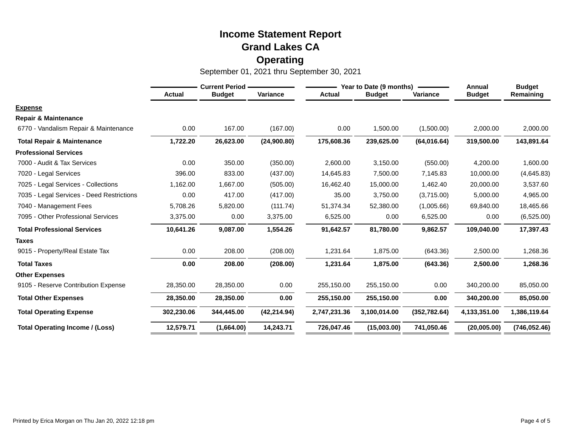|                                           | <b>Current Period</b> |               |              | Year to Date (9 months) |               |               | Annual        | <b>Budget</b> |
|-------------------------------------------|-----------------------|---------------|--------------|-------------------------|---------------|---------------|---------------|---------------|
|                                           | <b>Actual</b>         | <b>Budget</b> | Variance     | <b>Actual</b>           | <b>Budget</b> | Variance      | <b>Budget</b> | Remaining     |
| <b>Expense</b>                            |                       |               |              |                         |               |               |               |               |
| <b>Repair &amp; Maintenance</b>           |                       |               |              |                         |               |               |               |               |
| 6770 - Vandalism Repair & Maintenance     | 0.00                  | 167.00        | (167.00)     | 0.00                    | 1,500.00      | (1,500.00)    | 2,000.00      | 2,000.00      |
| <b>Total Repair &amp; Maintenance</b>     | 1,722.20              | 26,623.00     | (24,900.80)  | 175,608.36              | 239,625.00    | (64, 016.64)  | 319,500.00    | 143,891.64    |
| <b>Professional Services</b>              |                       |               |              |                         |               |               |               |               |
| 7000 - Audit & Tax Services               | 0.00                  | 350.00        | (350.00)     | 2,600.00                | 3,150.00      | (550.00)      | 4,200.00      | 1,600.00      |
| 7020 - Legal Services                     | 396.00                | 833.00        | (437.00)     | 14,645.83               | 7,500.00      | 7,145.83      | 10,000.00     | (4,645.83)    |
| 7025 - Legal Services - Collections       | 1,162.00              | 1,667.00      | (505.00)     | 16,462.40               | 15,000.00     | 1,462.40      | 20,000.00     | 3,537.60      |
| 7035 - Legal Services - Deed Restrictions | 0.00                  | 417.00        | (417.00)     | 35.00                   | 3,750.00      | (3,715.00)    | 5,000.00      | 4,965.00      |
| 7040 - Management Fees                    | 5,708.26              | 5,820.00      | (111.74)     | 51,374.34               | 52,380.00     | (1,005.66)    | 69,840.00     | 18,465.66     |
| 7095 - Other Professional Services        | 3,375.00              | 0.00          | 3,375.00     | 6,525.00                | 0.00          | 6,525.00      | 0.00          | (6,525.00)    |
| <b>Total Professional Services</b>        | 10,641.26             | 9,087.00      | 1,554.26     | 91,642.57               | 81,780.00     | 9,862.57      | 109,040.00    | 17,397.43     |
| <b>Taxes</b>                              |                       |               |              |                         |               |               |               |               |
| 9015 - Property/Real Estate Tax           | 0.00                  | 208.00        | (208.00)     | 1,231.64                | 1,875.00      | (643.36)      | 2,500.00      | 1,268.36      |
| <b>Total Taxes</b>                        | 0.00                  | 208.00        | (208.00)     | 1,231.64                | 1,875.00      | (643.36)      | 2,500.00      | 1,268.36      |
| <b>Other Expenses</b>                     |                       |               |              |                         |               |               |               |               |
| 9105 - Reserve Contribution Expense       | 28,350.00             | 28,350.00     | 0.00         | 255,150.00              | 255,150.00    | 0.00          | 340,200.00    | 85,050.00     |
| <b>Total Other Expenses</b>               | 28,350.00             | 28,350.00     | 0.00         | 255,150.00              | 255,150.00    | 0.00          | 340,200.00    | 85,050.00     |
| <b>Total Operating Expense</b>            | 302,230.06            | 344,445.00    | (42, 214.94) | 2,747,231.36            | 3,100,014.00  | (352, 782.64) | 4,133,351.00  | 1,386,119.64  |
| <b>Total Operating Income / (Loss)</b>    | 12,579.71             | (1,664.00)    | 14,243.71    | 726,047.46              | (15,003.00)   | 741,050.46    | (20,005.00)   | (746, 052.46) |